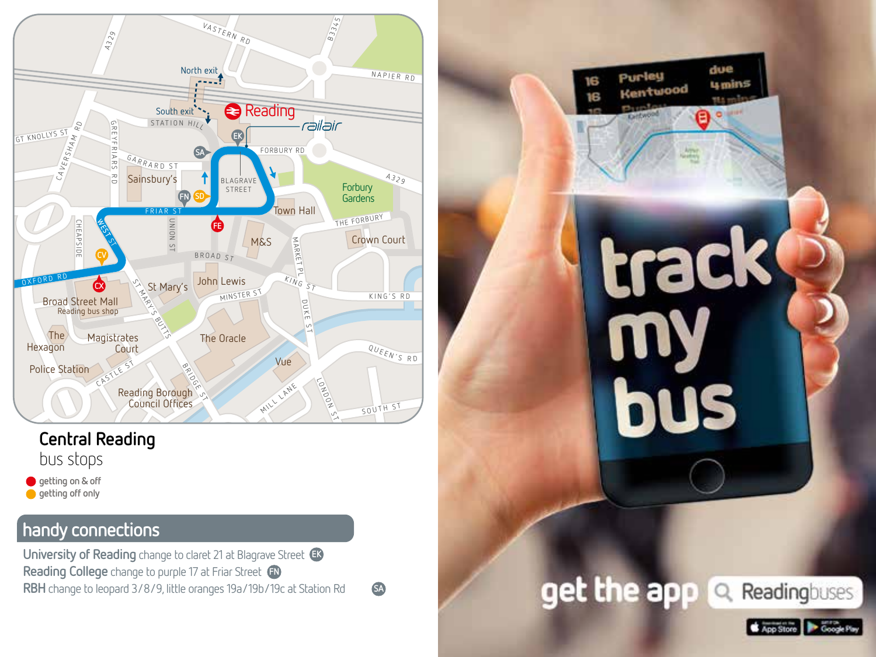

## **Central Reading** bus stops

**getting on & off getting off only** 

## **handy connections**

**University of Reading** change to claret 21 at Blagrave Street **EK Reading College** change to purple 17 at Friar Street **FN RBH** change to leopard 3/8/9, little oranges 19a/19b/19c at Station Rd

**SA**



App Store **De Google Play**